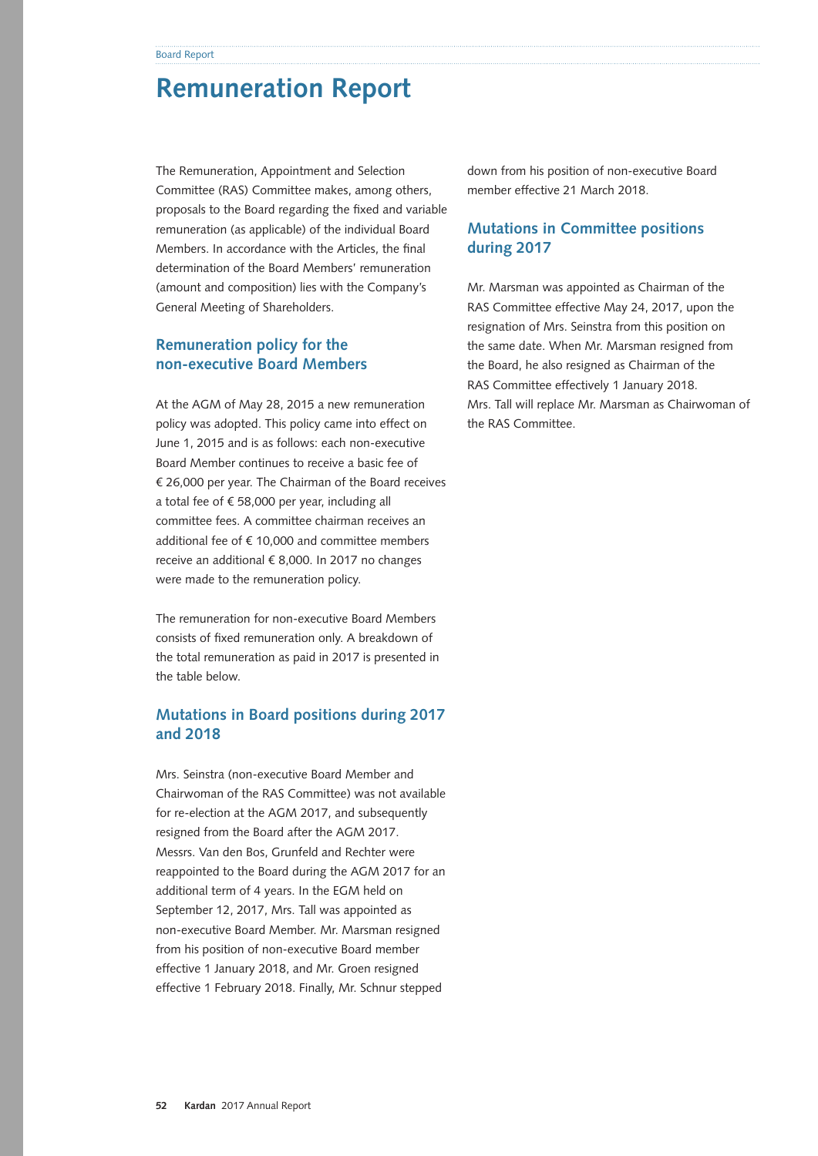# **Remuneration Report**

The Remuneration, Appointment and Selection Committee (RAS) Committee makes, among others, proposals to the Board regarding the fixed and variable remuneration (as applicable) of the individual Board Members. In accordance with the Articles, the final determination of the Board Members' remuneration (amount and composition) lies with the Company's General Meeting of Shareholders.

# **Remuneration policy for the non‑executive Board Members**

At the AGM of May 28, 2015 a new remuneration policy was adopted. This policy came into effect on June 1, 2015 and is as follows: each non-executive Board Member continues to receive a basic fee of € 26,000 per year. The Chairman of the Board receives a total fee of € 58,000 per year, including all committee fees. A committee chairman receives an additional fee of  $f$  10,000 and committee members receive an additional € 8,000. In 2017 no changes were made to the remuneration policy.

The remuneration for non-executive Board Members consists of fixed remuneration only. A breakdown of the total remuneration as paid in 2017 is presented in the table below.

## **Mutations in Board positions during 2017 and 2018**

Mrs. Seinstra (non-executive Board Member and Chairwoman of the RAS Committee) was not available for re-election at the AGM 2017, and subsequently resigned from the Board after the AGM 2017. Messrs. Van den Bos, Grunfeld and Rechter were reappointed to the Board during the AGM 2017 for an additional term of 4 years. In the EGM held on September 12, 2017, Mrs. Tall was appointed as non-executive Board Member. Mr. Marsman resigned from his position of non-executive Board member effective 1 January 2018, and Mr. Groen resigned effective 1 February 2018. Finally, Mr. Schnur stepped

down from his position of non-executive Board member effective 21 March 2018.

# **Mutations in Committee positions during 2017**

Mr. Marsman was appointed as Chairman of the RAS Committee effective May 24, 2017, upon the resignation of Mrs. Seinstra from this position on the same date. When Mr. Marsman resigned from the Board, he also resigned as Chairman of the RAS Committee effectively 1 January 2018. Mrs. Tall will replace Mr. Marsman as Chairwoman of the RAS Committee.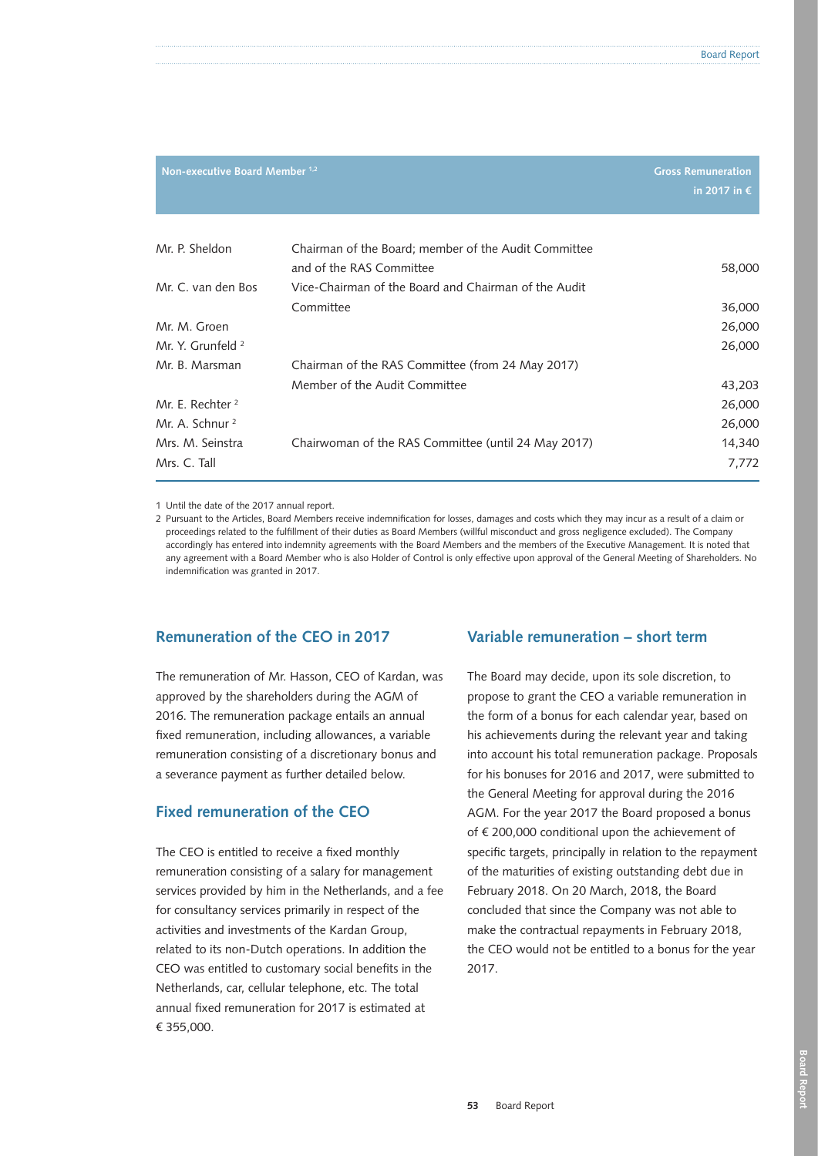| Non-executive Board Member 1,2 |                                                                                  | <b>Gross Remuneration</b><br>in 2017 in $\epsilon$ |
|--------------------------------|----------------------------------------------------------------------------------|----------------------------------------------------|
| Mr. P. Sheldon                 | Chairman of the Board; member of the Audit Committee                             |                                                    |
| Mr. C. van den Bos             | and of the RAS Committee<br>Vice-Chairman of the Board and Chairman of the Audit | 58,000                                             |
|                                | Committee                                                                        | 36,000                                             |
| Mr. M. Groen                   |                                                                                  | 26,000                                             |
| Mr. Y. Grunfeld <sup>2</sup>   |                                                                                  | 26,000                                             |
| Mr. B. Marsman                 | Chairman of the RAS Committee (from 24 May 2017)                                 |                                                    |
|                                | Member of the Audit Committee                                                    | 43,203                                             |
| Mr. E. Rechter <sup>2</sup>    |                                                                                  | 26,000                                             |
| Mr. A. Schnur <sup>2</sup>     |                                                                                  | 26,000                                             |
| Mrs. M. Seinstra               | Chairwoman of the RAS Committee (until 24 May 2017)                              | 14,340                                             |
| Mrs. C. Tall                   |                                                                                  | 7,772                                              |

1 Until the date of the 2017 annual report.

2 Pursuant to the Articles, Board Members receive indemnification for losses, damages and costs which they may incur as a result of a claim or proceedings related to the fulfillment of their duties as Board Members (willful misconduct and gross negligence excluded). The Company accordingly has entered into indemnity agreements with the Board Members and the members of the Executive Management. It is noted that any agreement with a Board Member who is also Holder of Control is only effective upon approval of the General Meeting of Shareholders. No indemnification was granted in 2017.

## **Remuneration of the CEO in 2017**

The remuneration of Mr. Hasson, CEO of Kardan, was approved by the shareholders during the AGM of 2016. The remuneration package entails an annual fixed remuneration, including allowances, a variable remuneration consisting of a discretionary bonus and a severance payment as further detailed below.

## **Fixed remuneration of the CEO**

The CEO is entitled to receive a fixed monthly remuneration consisting of a salary for management services provided by him in the Netherlands, and a fee for consultancy services primarily in respect of the activities and investments of the Kardan Group, related to its non-Dutch operations. In addition the CEO was entitled to customary social benefits in the Netherlands, car, cellular telephone, etc. The total annual fixed remuneration for 2017 is estimated at € 355,000.

## **Variable remuneration – short term**

The Board may decide, upon its sole discretion, to propose to grant the CEO a variable remuneration in the form of a bonus for each calendar year, based on his achievements during the relevant year and taking into account his total remuneration package. Proposals for his bonuses for 2016 and 2017, were submitted to the General Meeting for approval during the 2016 AGM. For the year 2017 the Board proposed a bonus of € 200,000 conditional upon the achievement of specific targets, principally in relation to the repayment of the maturities of existing outstanding debt due in February 2018. On 20 March, 2018, the Board concluded that since the Company was not able to make the contractual repayments in February 2018, the CEO would not be entitled to a bonus for the year 2017.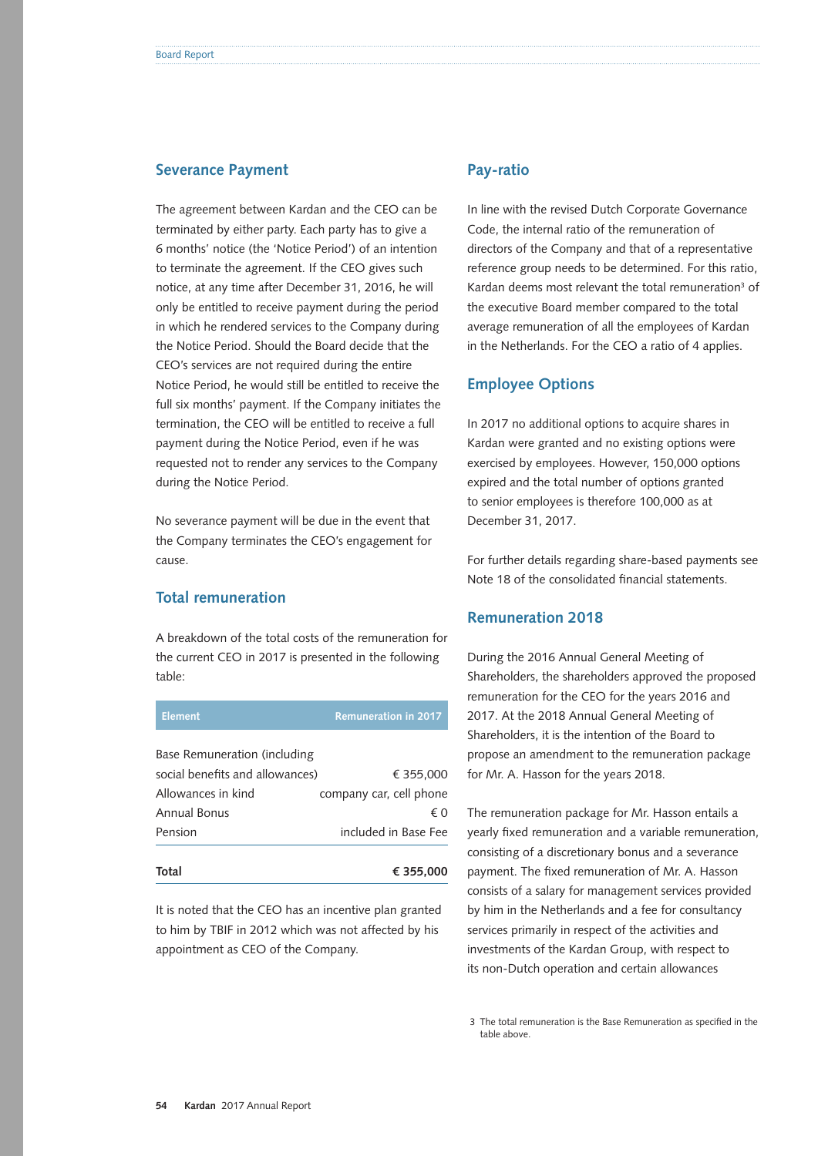#### **Severance Payment**

The agreement between Kardan and the CEO can be terminated by either party. Each party has to give a 6 months' notice (the 'Notice Period') of an intention to terminate the agreement. If the CEO gives such notice, at any time after December 31, 2016, he will only be entitled to receive payment during the period in which he rendered services to the Company during the Notice Period. Should the Board decide that the CEO's services are not required during the entire Notice Period, he would still be entitled to receive the full six months' payment. If the Company initiates the termination, the CEO will be entitled to receive a full payment during the Notice Period, even if he was requested not to render any services to the Company during the Notice Period.

No severance payment will be due in the event that the Company terminates the CEO's engagement for cause.

## **Total remuneration**

A breakdown of the total costs of the remuneration for the current CEO in 2017 is presented in the following table:

| <b>Element</b>                  | <b>Remuneration in 2017</b> |
|---------------------------------|-----------------------------|
| Base Remuneration (including    |                             |
| social benefits and allowances) | € 355,000                   |
| Allowances in kind              | company car, cell phone     |
| Annual Bonus                    | €∩                          |
| Pension                         | included in Base Fee        |
| Total                           |                             |
|                                 | € 355.000                   |

It is noted that the CEO has an incentive plan granted to him by TBIF in 2012 which was not affected by his appointment as CEO of the Company.

#### **Pay-ratio**

In line with the revised Dutch Corporate Governance Code, the internal ratio of the remuneration of directors of the Company and that of a representative reference group needs to be determined. For this ratio, Kardan deems most relevant the total remuneration<sup>3</sup> of the executive Board member compared to the total average remuneration of all the employees of Kardan in the Netherlands. For the CEO a ratio of 4 applies.

#### **Employee Options**

In 2017 no additional options to acquire shares in Kardan were granted and no existing options were exercised by employees. However, 150,000 options expired and the total number of options granted to senior employees is therefore 100,000 as at December 31, 2017.

For further details regarding share-based payments see Note 18 of the consolidated financial statements.

#### **Remuneration 2018**

During the 2016 Annual General Meeting of Shareholders, the shareholders approved the proposed remuneration for the CEO for the years 2016 and 2017. At the 2018 Annual General Meeting of Shareholders, it is the intention of the Board to propose an amendment to the remuneration package for Mr. A. Hasson for the years 2018.

The remuneration package for Mr. Hasson entails a yearly fixed remuneration and a variable remuneration, consisting of a discretionary bonus and a severance payment. The fixed remuneration of Mr. A. Hasson consists of a salary for management services provided by him in the Netherlands and a fee for consultancy services primarily in respect of the activities and investments of the Kardan Group, with respect to its non-Dutch operation and certain allowances

 3 The total remuneration is the Base Remuneration as specified in the table above.